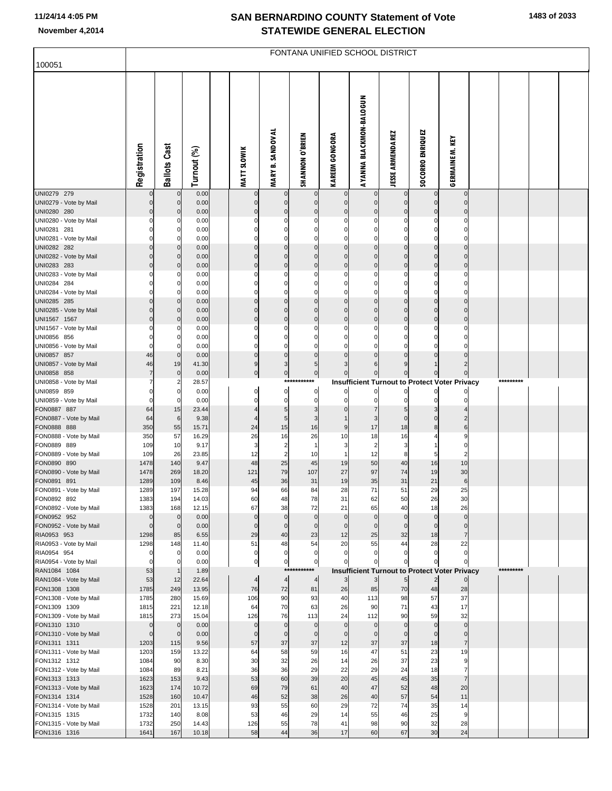## **SAN BERNARDINO COUNTY Statement of Vote November 4,2014 STATEWIDE GENERAL ELECTION**

| 100051                                 | FONTANA UNIFIED SCHOOL DISTRICT |                              |                |  |                                |                               |                            |                             |                                                      |                              |                               |                                  |  |           |  |
|----------------------------------------|---------------------------------|------------------------------|----------------|--|--------------------------------|-------------------------------|----------------------------|-----------------------------|------------------------------------------------------|------------------------------|-------------------------------|----------------------------------|--|-----------|--|
|                                        | Registration                    | <b>Ballots Cast</b>          | Turnout (%)    |  | <b>MATT SLOWIK</b>             | <b>MARY B. SANDOVAL</b>       | SHANNON O'BRIEN            | <b>KAREEM GONGORA</b>       | <b>AYANNA BLACKMON-BALOGUN</b>                       | <b>JESSE ARMENDAREZ</b>      | <b>SOCORRO ENRIQUEZ</b>       | GERMAINE M. KEY                  |  |           |  |
| UNI0279 279<br>UNI0279 - Vote by Mail  | $\Omega$                        | 0<br>$\mathbf{0}$            | 0.00<br>0.00   |  | $\Omega$                       | $\mathbf 0$<br>$\mathbf 0$    | 0<br>$\Omega$              | $\mathbf 0$<br>$\mathbf{0}$ | $\mathbf{0}$<br>$\overline{0}$                       | $\Omega$                     | $\mathbf 0$<br>$\overline{0}$ | $\overline{0}$<br>$\overline{0}$ |  |           |  |
| UNI0280 280                            | $\Omega$                        | $\mathbf{0}$                 | 0.00           |  | $\mathsf{C}$                   | $\mathbf 0$                   | $\Omega$                   | $\Omega$                    | $\overline{0}$                                       |                              | 0                             | $\overline{0}$                   |  |           |  |
| UNI0280 - Vote by Mail<br>UNI0281 281  | $\Omega$                        | 0<br>$\Omega$                | 0.00<br>0.00   |  | C<br>C                         | $\Omega$<br>$\mathbf 0$       | C                          |                             | $\mathbf 0$<br>$\mathbf 0$                           |                              |                               | 0<br>0                           |  |           |  |
| UNI0281 - Vote by Mail                 | $\Omega$                        | $\Omega$                     | 0.00           |  | C                              | $\Omega$                      |                            |                             | $\mathbf 0$                                          |                              |                               | $\Omega$                         |  |           |  |
| UNI0282 282<br>UNI0282 - Vote by Mail  | $\Omega$<br>$\Omega$            | $\mathbf{0}$<br>$\mathbf{0}$ | 0.00<br>0.00   |  | $\mathcal{C}$<br>$\mathcal{C}$ | $\Omega$<br>$\Omega$          | $\Omega$<br>$\mathsf{C}$   | $\Omega$                    | $\pmb{0}$<br>$\mathbf 0$                             | $\Omega$                     | 0<br>$\Omega$                 | $\mathbf 0$<br>$\Omega$          |  |           |  |
| UNI0283 283                            | $\Omega$                        | $\mathbf{0}$                 | 0.00           |  | $\Omega$                       | $\mathbf 0$                   | $\Omega$                   | $\Omega$                    | $\pmb{0}$                                            | $\Omega$                     | $\Omega$                      | $\overline{0}$                   |  |           |  |
| UNI0283 - Vote by Mail                 | O                               | 0                            | 0.00           |  | C                              | 0                             |                            |                             | 0                                                    |                              |                               | $\Omega$                         |  |           |  |
| UNI0284 284<br>UNI0284 - Vote by Mail  | $\Omega$                        | $\Omega$<br>$\Omega$         | 0.00<br>0.00   |  | C<br>C                         | $\Omega$<br>$\Omega$          | C                          |                             | $\mathbf 0$<br>$\Omega$                              |                              | 0                             | 0<br>$\Omega$                    |  |           |  |
| UNI0285 285                            | $\Omega$                        | $\mathbf{0}$                 | 0.00           |  | C                              | $\Omega$                      | $\Omega$                   | $\Omega$                    | $\mathbf 0$                                          | $\Omega$                     | $\Omega$                      | $\mathbf 0$                      |  |           |  |
| UNI0285 - Vote by Mail                 | $\Omega$                        | $\Omega$                     | 0.00           |  | $\mathcal{C}$                  | $\Omega$                      | C                          |                             | $\mathbf 0$                                          |                              | $\Omega$                      | $\Omega$                         |  |           |  |
| UNI1567 1567<br>UNI1567 - Vote by Mail | $\Omega$<br>O                   | $\Omega$<br>0                | 0.00<br>0.00   |  | $\mathcal{C}$<br>C             | $\Omega$<br>0                 | C                          | $\Omega$                    | $\mathbf{0}$<br>0                                    |                              | 0                             | $\mathbf 0$<br>0                 |  |           |  |
| UNI0856 856                            |                                 | $\Omega$                     | 0.00           |  | C                              | $\mathbf 0$                   | ſ                          |                             | 0                                                    |                              |                               | 0                                |  |           |  |
| UNI0856 - Vote by Mail                 | $\Omega$                        | $\Omega$                     | 0.00           |  | $\Omega$                       | $\Omega$                      |                            |                             |                                                      |                              |                               | 0                                |  |           |  |
| UNI0857 857<br>UNI0857 - Vote by Mail  | 46<br>46                        | $\Omega$<br>19               | 0.00<br>41.30  |  | $\Omega$<br>9                  | $\mathbf 0$<br>3              | $\Omega$<br>5              |                             | $\Omega$                                             |                              |                               | $\Omega$<br>$\overline{c}$       |  |           |  |
| UNI0858 858                            |                                 | $\mathbf 0$                  | 0.00           |  | $\mathbf 0$                    | $\overline{0}$                | $\mathbf 0$                |                             | $\overline{0}$                                       |                              |                               |                                  |  |           |  |
| UNI0858 - Vote by Mail                 |                                 |                              | 28.57          |  |                                | ***                           | ********                   |                             | <b>Insufficient Turnout to Protect Voter Privacy</b> |                              |                               |                                  |  | ********* |  |
| UNI0859 859<br>UNI0859 - Vote by Mail  | $\Omega$<br>$\Omega$            | $\Omega$<br>$\mathbf 0$      | 0.00<br>0.00   |  | 0<br>C                         | 0<br>$\mathbf 0$              | 0<br>$\mathbf 0$           | 0                           | $\overline{0}$<br>$\mathbf{0}$                       | $\Omega$<br>O                | $\Omega$                      | 0                                |  |           |  |
| FON0887 887                            | 64                              | 15                           | 23.44          |  |                                | 5                             | 3                          |                             |                                                      |                              |                               |                                  |  |           |  |
| FON0887 - Vote by Mail                 | 64<br>350                       | $6\phantom{1}$               | 9.38<br>15.71  |  | 4<br>24                        | 5<br>15                       | 3<br>16                    | 9                           | 3<br>17                                              | $\Omega$<br>18               | $\Omega$<br>8                 | $\overline{2}$<br>$6 \mid$       |  |           |  |
| FON0888 888<br>FON0888 - Vote by Mail  | 350                             | 55<br>57                     | 16.29          |  | 26                             | 16                            | 26                         | 10                          | 18                                                   | 16                           |                               | 9                                |  |           |  |
| FON0889 889                            | 109                             | 10                           | 9.17           |  | 3                              | $\overline{a}$                | $\overline{1}$             | 3                           | $\overline{2}$                                       | 3                            |                               | 0                                |  |           |  |
| FON0889 - Vote by Mail<br>FON0890 890  | 109<br>1478                     | 26<br>140                    | 23.85<br>9.47  |  | 12<br>48                       | $\overline{2}$<br>25          | 10<br>45                   | 1<br>19                     | 12<br>50                                             | 8<br>40                      | 5<br>16                       | $\overline{2}$<br>10             |  |           |  |
| FON0890 - Vote by Mail                 | 1478                            | 269                          | 18.20          |  | 121                            | 79                            | 107                        | 27                          | 97                                                   | 74                           | 19                            | 30                               |  |           |  |
| FON0891 891                            | 1289                            | 109                          | 8.46           |  | 45                             | 36                            | 31                         | 19                          | 35                                                   | 31                           | 21                            | 6                                |  |           |  |
| FON0891 - Vote by Mail<br>FON0892 892  | 1289<br>1383                    | 197<br>194                   | 15.28<br>14.03 |  | 94<br>60                       | 66<br>48                      | 84<br>78                   | 28<br>31                    | 71<br>62                                             | 51<br>50                     | 29<br>26                      | 25<br>30                         |  |           |  |
| FON0892 - Vote by Mail                 | 1383                            | 168                          | 12.15          |  | 67                             | 38                            | 72                         | 21                          | 65                                                   | 40                           | 18                            | 26                               |  |           |  |
| FON0952 952                            | $\Omega$                        |                              | 0.00           |  | $\Omega$                       | $\mathbf 0$                   | $\mathbf 0$                | $\mathbf 0$                 | $\overline{0}$                                       | $\Omega$                     | $\overline{0}$                | $\overline{0}$                   |  |           |  |
| FON0952 - Vote by Mail<br>RIA0953 953  | $\mathbf{0}$<br>1298            | $\mathbf 0$<br>85            | 0.00<br>6.55   |  | $\mathbf 0$<br>29              | $\overline{0}$<br>40          | $\mathbf 0$<br>23          | $\mathbf 0$<br>12           | $\overline{0}$<br>25                                 | $\mathbf 0$<br>32            | $\Omega$<br>18                | $\mathbf 0$<br>7                 |  |           |  |
| RIA0953 - Vote by Mail                 | 1298                            | 148                          | 11.40          |  | 51                             | 48                            | 54                         | 20                          | 55                                                   | 44                           | 28                            | 22                               |  |           |  |
| RIA0954 954                            | $\Omega$<br>$\mathbf 0$         |                              | 0.00<br>0.00   |  | $\mathbf 0$<br>$\pmb{0}$       | $\mathbf 0$<br>$\overline{0}$ | $\mathbf 0$<br>$\bf 0$     |                             | $\Omega$                                             |                              |                               | $\overline{0}$<br>$\Omega$       |  |           |  |
| RIA0954 - Vote by Mail<br>RAN1084 1084 | 53                              |                              | 1.89           |  |                                | $***$                         | ***                        |                             | <b>Insufficient Turnout to Protect Voter Privacy</b> |                              |                               |                                  |  | ********* |  |
| RAN1084 - Vote by Mail                 | 53                              | 12                           | 22.64          |  | $\overline{4}$                 | $\overline{4}$                | $\overline{4}$             | 3                           | 3                                                    | $5 \frac{1}{2}$              | $\overline{2}$                | $\Omega$                         |  |           |  |
| FON1308 1308<br>FON1308 - Vote by Mail | 1785<br>1785                    | 249<br>280                   | 13.95<br>15.69 |  | 76<br>106                      | 72<br>90                      | 81<br>93                   | 26<br>40                    | 85<br>113                                            | 70<br>98                     | 48<br>57                      | 28<br>37                         |  |           |  |
| FON1309 1309                           | 1815                            | 221                          | 12.18          |  | 64                             | 70                            | 63                         | 26                          | 90                                                   | 71                           | 43                            | 17                               |  |           |  |
| FON1309 - Vote by Mail                 | 1815                            | 273                          | 15.04          |  | 126                            | 76                            | 113                        | 24                          | 112                                                  | 90                           | 59                            | 32                               |  |           |  |
| FON1310 1310<br>FON1310 - Vote by Mail | $\overline{0}$<br>$\mathbf{0}$  | $\mathbf 0$<br>$\mathbf 0$   | 0.00<br>0.00   |  | $\Omega$<br>$\mathbf 0$        | $\overline{0}$<br>$\mathbf 0$ | $\mathbf 0$<br>$\mathbf 0$ | $\mathbf 0$<br>$\mathbf 0$  | $\overline{0}$<br>$\overline{0}$                     | $\mathbf{0}$<br>$\mathbf{0}$ | $\overline{0}$<br>$\mathbf 0$ | $\overline{0}$<br>$\overline{0}$ |  |           |  |
| FON1311 1311                           | 1203                            | 115                          | 9.56           |  | 57                             | 37                            | 37                         | 12                          | 37                                                   | 37                           | 18                            | 7                                |  |           |  |
| FON1311 - Vote by Mail                 | 1203                            | 159                          | 13.22          |  | 64                             | 58                            | 59                         | 16                          | 47                                                   | 51                           | 23                            | 19                               |  |           |  |
| FON1312 1312<br>FON1312 - Vote by Mail | 1084<br>1084                    | 90<br>89                     | 8.30<br>8.21   |  | 30<br>36                       | 32<br>36                      | 26<br>29                   | 14<br>22                    | 26<br>29                                             | 37<br>24                     | 23<br>18                      | 9<br>$\overline{7}$              |  |           |  |
| FON1313 1313                           | 1623                            | 153                          | 9.43           |  | 53                             | 60                            | 39                         | 20                          | 45                                                   | 45                           | 35                            | $\overline{7}$                   |  |           |  |
| FON1313 - Vote by Mail                 | 1623                            | 174                          | 10.72          |  | 69                             | 79                            | 61                         | 40                          | 47                                                   | 52                           | 48                            | 20                               |  |           |  |
| FON1314 1314<br>FON1314 - Vote by Mail | 1528<br>1528                    | 160<br>201                   | 10.47<br>13.15 |  | 46<br>93                       | 52<br>55                      | 38<br>60                   | 26<br>29                    | 40<br>72                                             | 57<br>74                     | 54<br>35                      | 11<br>14                         |  |           |  |
| FON1315 1315                           | 1732                            | 140                          | 8.08           |  | 53                             | 46                            | 29                         | 14                          | 55                                                   | 46                           | 25                            | 9                                |  |           |  |
| FON1315 - Vote by Mail                 | 1732                            | 250                          | 14.43          |  | 126                            | 55                            | 78                         | 41                          | 98                                                   | 90                           | 32                            | 28                               |  |           |  |
| FON1316 1316                           | 1641                            | 167                          | 10.18          |  | 58                             | 44                            | 36                         | 17                          | 60                                                   | 67                           | 30                            | 24                               |  |           |  |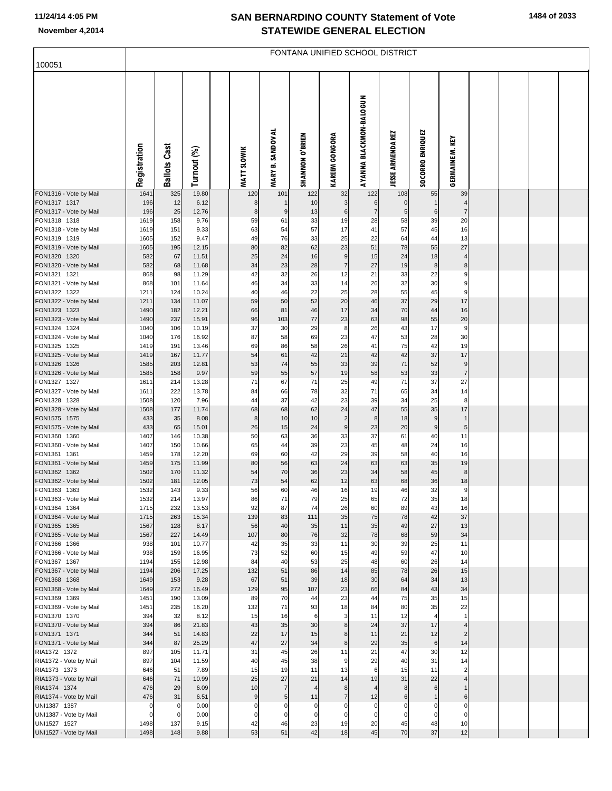## **SAN BERNARDINO COUNTY Statement of Vote November 4,2014 STATEWIDE GENERAL ELECTION**

|                                        | FONTANA UNIFIED SCHOOL DISTRICT |                     |                |  |                        |                                   |                        |                        |                                |                         |                  |                     |  |  |
|----------------------------------------|---------------------------------|---------------------|----------------|--|------------------------|-----------------------------------|------------------------|------------------------|--------------------------------|-------------------------|------------------|---------------------|--|--|
| 100051                                 |                                 |                     |                |  |                        |                                   |                        |                        |                                |                         |                  |                     |  |  |
|                                        | Registration                    | <b>Ballots Cast</b> | Turnout (%)    |  | <b>MATT SLOWIK</b>     | <b>B. SANDOVAL</b><br><b>MARY</b> | <b>SHANNON O'BRIEN</b> | <b>KAREEM GONGORA</b>  | <b>AYANNA BLACKMON-BALOGUN</b> | <b>JESSE ARMENDAREZ</b> | SOCORRO ENRIQUEZ | GERMAINE M. KEY     |  |  |
| FON1316 - Vote by Mail                 | 1641                            | 325                 | 19.80          |  | 120                    | 101                               | 122                    | 32                     | 122                            | 108                     | 55               | 39                  |  |  |
| FON1317 1317<br>FON1317 - Vote by Mail | 196<br>196                      | 12<br>25            | 6.12<br>12.76  |  | 8<br>8                 | $\boldsymbol{9}$                  | 10<br>13               | 3<br>6                 | 6<br>$\overline{7}$            | $\mathbf 0$<br>5        | 6                | 4<br>$\overline{7}$ |  |  |
| FON1318 1318                           | 1619                            | 158                 | 9.76           |  | 59                     | 61                                | 33                     | 19                     | 28                             | 58                      | 39               | 20                  |  |  |
| FON1318 - Vote by Mail                 | 1619                            | 151                 | 9.33           |  | 63                     | 54                                | 57                     | 17                     | 41                             | 57                      | 45               | 16                  |  |  |
| FON1319 1319<br>FON1319 - Vote by Mail | 1605<br>1605                    | 152<br>195          | 9.47<br>12.15  |  | 49<br>80               | 76<br>82                          | 33<br>62               | 25<br>23               | 22<br>51                       | 64<br>78                | 44<br>55         | 13<br>27            |  |  |
| FON1320 1320                           | 582                             | 67                  | 11.51          |  | 25                     | 24                                | 16                     | 9                      | 15                             | 24                      | 18               | $\overline{4}$      |  |  |
| FON1320 - Vote by Mail                 | 582                             | 68                  | 11.68          |  | 34                     | 23                                | 28                     | $\overline{7}$         | 27                             | 19                      | $\boldsymbol{8}$ | 8                   |  |  |
| FON1321 1321<br>FON1321 - Vote by Mail | 868<br>868                      | 98<br>101           | 11.29<br>11.64 |  | 42<br>46               | 32<br>34                          | 26<br>33               | 12<br>14               | 21<br>26                       | 33<br>32                | 22<br>30         | 9<br>9              |  |  |
| FON1322 1322                           | 1211                            | 124                 | 10.24          |  | 40                     | 46                                | 22                     | 25                     | 28                             | 55                      | 45               | 9                   |  |  |
| FON1322 - Vote by Mail                 | 1211                            | 134                 | 11.07          |  | 59                     | 50                                | 52                     | 20                     | 46                             | 37                      | 29               | 17                  |  |  |
| FON1323 1323<br>FON1323 - Vote by Mail | 1490<br>1490                    | 182<br>237          | 12.21<br>15.91 |  | 66<br>96               | 81<br>103                         | 46<br>77               | 17<br>23               | 34<br>63                       | 70<br>98                | 44<br>55         | 16<br>20            |  |  |
| FON1324 1324                           | 1040                            | 106                 | 10.19          |  | 37                     | 30                                | 29                     | 8                      | 26                             | 43                      | 17               | 9                   |  |  |
| FON1324 - Vote by Mail                 | 1040                            | 176                 | 16.92          |  | 87                     | 58                                | 69                     | 23                     | 47                             | 53                      | 28               | 30                  |  |  |
| FON1325 1325<br>FON1325 - Vote by Mail | 1419<br>1419                    | 191<br>167          | 13.46<br>11.77 |  | 69<br>54               | 86<br>61                          | 58<br>42               | 26<br>21               | 41<br>42                       | 75<br>42                | 42<br>37         | 19<br>17            |  |  |
| FON1326 1326                           | 1585                            | 203                 | 12.81          |  | 53                     | 74                                | 55                     | 33                     | 39                             | 71                      | 52               | 9                   |  |  |
| FON1326 - Vote by Mail                 | 1585                            | 158                 | 9.97           |  | 59                     | 55                                | 57                     | 19                     | 58                             | 53                      | 33               | $\overline{7}$      |  |  |
| FON1327 1327                           | 1611                            | 214                 | 13.28          |  | 71                     | 67                                | 71                     | 25                     | 49                             | 71                      | 37               | 27                  |  |  |
| FON1327 - Vote by Mail<br>FON1328 1328 | 1611<br>1508                    | 222<br>120          | 13.78<br>7.96  |  | 84<br>44               | 66<br>37                          | 78<br>42               | 32<br>23               | 71<br>39                       | 65<br>34                | 34<br>25         | 14<br>8             |  |  |
| FON1328 - Vote by Mail                 | 1508                            | 177                 | 11.74          |  | 68                     | 68                                | 62                     | 24                     | 47                             | 55                      | 35               | 17                  |  |  |
| FON1575 1575                           | 433                             | 35                  | 8.08           |  | 8                      | 10                                | 10                     | $\overline{2}$         | 8                              | 18                      | 9                | $\mathbf{1}$        |  |  |
| FON1575 - Vote by Mail<br>FON1360 1360 | 433<br>1407                     | 65<br>146           | 15.01<br>10.38 |  | 26<br>50               | 15<br>63                          | 24<br>36               | $\boldsymbol{9}$<br>33 | 23<br>37                       | 20<br>61                | 9<br>40          | 5<br>11             |  |  |
| FON1360 - Vote by Mail                 | 1407                            | 150                 | 10.66          |  | 65                     | 44                                | 39                     | 23                     | 45                             | 48                      | 24               | 16                  |  |  |
| FON1361 1361                           | 1459                            | 178                 | 12.20          |  | 69                     | 60                                | 42                     | 29                     | 39                             | 58                      | 40               | 16                  |  |  |
| FON1361 - Vote by Mail<br>FON1362 1362 | 1459<br>1502                    | 175<br>170          | 11.99<br>11.32 |  | 80<br>54               | 56<br>70                          | 63<br>36               | 24<br>23               | 63<br>34                       | 63<br>58                | 35<br>45         | 19<br>8             |  |  |
| FON1362 - Vote by Mail                 | 1502                            | 181                 | 12.05          |  | 73                     | 54                                | 62                     | 12                     | 63                             | 68                      | 36               | 18                  |  |  |
| FON1363 1363                           | 1532                            | 143                 | 9.33           |  | 56                     | 60                                | 46                     | 16                     | 19                             | 46                      | 32               | 9                   |  |  |
| FON1363 - Vote by Mail<br>FON1364 1364 | 1532<br>1715                    | 214<br>232          | 13.97<br>13.53 |  | 86<br>92               | 71<br>87                          | 79<br>74               | 25<br>26               | 65<br>60                       | 72<br>89                | 35<br>43         | 18<br>16            |  |  |
| FON1364 - Vote by Mail                 | 1715                            | 263                 | 15.34          |  | 139                    | 83                                | 111                    | 35                     | 75                             | 78                      | 42               | 37                  |  |  |
| FON1365 1365                           | 1567                            | 128                 | 8.17           |  | 56                     | 40                                | 35                     | 11                     | 35                             | 49                      | 27               | 13                  |  |  |
| FON1365 - Vote by Mail<br>FON1366 1366 | 1567<br>938                     | 227<br>101          | 14.49<br>10.77 |  | 107<br>42              | 80<br>35                          | 76<br>33               | 32<br>11               | 78<br>30                       | 68<br>39                | 59<br>25         | 34<br>11            |  |  |
| FON1366 - Vote by Mail                 | 938                             | 159                 | 16.95          |  | 73                     | 52                                | 60                     | 15                     | 49                             | 59                      | 47               | 10                  |  |  |
| FON1367 1367                           | 1194                            | 155                 | 12.98          |  | 84                     | 40                                | 53                     | 25                     | 48                             | 60                      | 26               | 14                  |  |  |
| FON1367 - Vote by Mail<br>FON1368 1368 | 1194<br>1649                    | 206<br>153          | 17.25<br>9.28  |  | 132<br>67              | 51<br>51                          | 86<br>39               | 14<br>18               | 85<br>30                       | 78<br>64                | 26<br>34         | 15<br>13            |  |  |
| FON1368 - Vote by Mail                 | 1649                            | 272                 | 16.49          |  | 129                    | 95                                | 107                    | 23                     | 66                             | 84                      | 43               | 34                  |  |  |
| FON1369 1369                           | 1451                            | 190                 | 13.09          |  | 89                     | 70                                | 44                     | 23                     | 44                             | 75                      | 35               | 15                  |  |  |
| FON1369 - Vote by Mail<br>FON1370 1370 | 1451<br>394                     | 235<br>32           | 16.20<br>8.12  |  | 132<br>15              | 71<br>16                          | 93<br>6                | 18<br>3                | 84<br>11                       | 80<br>12                | 35<br>4          | 22<br>$\mathbf{1}$  |  |  |
| FON1370 - Vote by Mail                 | 394                             | 86                  | 21.83          |  | 43                     | 35                                | 30                     | 8                      | 24                             | 37                      | 17               | $\overline{4}$      |  |  |
| FON1371 1371                           | 344                             | 51                  | 14.83          |  | 22                     | 17                                | 15                     | 8                      | 11                             | 21                      | 12               | $\overline{2}$      |  |  |
| FON1371 - Vote by Mail<br>RIA1372 1372 | 344<br>897                      | 87<br>105           | 25.29<br>11.71 |  | 47<br>31               | 27<br>45                          | 34<br>26               | 8<br>11                | 29<br>21                       | 35<br>47                | 6<br>30          | 14<br>12            |  |  |
| RIA1372 - Vote by Mail                 | 897                             | 104                 | 11.59          |  | 40                     | 45                                | 38                     | 9                      | 29                             | 40                      | 31               | 14                  |  |  |
| RIA1373 1373                           | 646                             | 51                  | 7.89           |  | 15                     | 19                                | 11                     | 13                     | 6                              | 15                      | 11               | $\overline{2}$      |  |  |
| RIA1373 - Vote by Mail                 | 646                             | 71                  | 10.99          |  | 25                     | 27                                | 21                     | 14                     | 19                             | 31                      | 22               | $\overline{4}$      |  |  |
| RIA1374 1374<br>RIA1374 - Vote by Mail | 476<br>476                      | 29<br>31            | 6.09<br>6.51   |  | 10<br>$\boldsymbol{9}$ | $\overline{7}$<br>$\sqrt{5}$      | $\overline{4}$<br>11   | 8<br>$\overline{7}$    | $\overline{4}$<br>12           | 8<br>$6 \mid$           | 6                | 6                   |  |  |
| UNI1387 1387                           | $\pmb{0}$                       | 0                   | 0.00           |  | $\mathbf 0$            | 0                                 | $\mathbf 0$            | C                      | $\mathbf 0$                    | $\Omega$                | $\mathbf{0}$     |                     |  |  |
| UNI1387 - Vote by Mail                 | $\mathbf 0$                     | 0                   | 0.00           |  | 0                      | 0                                 | $\mathbf 0$            | $\Omega$               | $\mathbf 0$                    | $\mathbf 0$             | $\mathbf 0$      | $\Omega$            |  |  |
| UNI1527 1527<br>UNI1527 - Vote by Mail | 1498<br>1498                    | 137<br>148          | 9.15<br>9.88   |  | 42<br>53               | 46<br>51                          | 23<br>42               | 19<br>18               | 20<br>45                       | 45<br>70                | 48<br>37         | 10<br>12            |  |  |